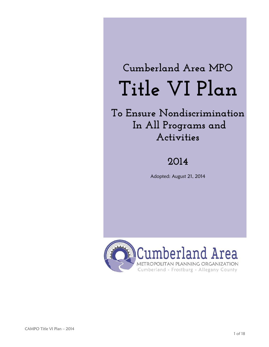# **Cumberland Area MPO Title VI Plan**

**To Ensure Nondiscrimination In All Programs and Activities**

# **2014**

Adopted: August 21, 2014

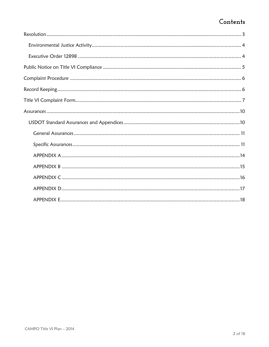# Contents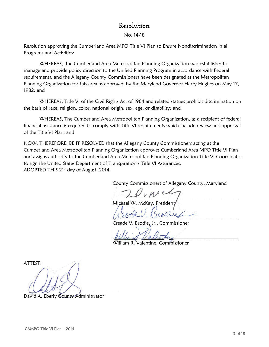## **Resolution**

No. 14-18

<span id="page-2-0"></span>Resolution approving the Cumberland Area MPO Title VI Plan to Ensure Nondiscrimination in all Programs and Activities:

WHEREAS, the Cumberland Area Metropolitan Planning Organization was establishes to manage and provide policy direction to the Unified Planning Program in accordance with Federal requirements, and the Allegany County Commissioners have been designated as the Metropolitan Planning Organization for this area as approved by the Maryland Governor Harry Hughes on May 17, 1982; and

WHEREAS, Title VI of the Civil Rights Act of 1964 and related statues prohibit discrimination on the basis of race, religion, color, national origin, sex, age, or disability; and

WHEREAS, The Cumberland Area Metropolitan Planning Organization, as a recipient of federal financial assistance is required to comply with Title VI requirements which include review and approval of the Title VI Plan; and

NOW, THEREFORE, BE IT RESOLVED that the Allegany County Commissioners acting as the Cumberland Area Metropolitan Planning Organization approves Cumberland Area MPO Title VI Plan and assigns authority to the Cumberland Area Metropolitan Planning Organization Title VI Coordinator to sign the United States Department of Transpiration's Title VI Assurances. ADOPTED THIS 21st day of August, 2014.

County Commissioners of Allegany County, Maryland

 $\lambda$ Michael W. McKay, President

\_\_\_\_\_\_\_\_\_\_\_\_\_\_\_\_\_\_\_\_\_\_\_\_\_\_\_\_\_\_\_\_\_\_\_\_\_\_\_\_\_\_\_\_\_\_\_\_\_\_\_\_

Creade V. Brodie, Jr., Commissioner

annum Valentus

William R. Valentine, Commissioner

ATTEST:  $\cup$ 

David A. Eberly County Administrator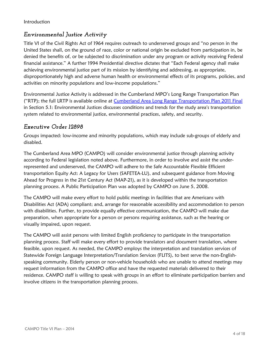## <span id="page-3-0"></span>*Environmental Justice Activity*

Title VI of the Civil Rights Act of 1964 requires outreach to underserved groups and "no person in the United States shall, on the ground of race, color or national origin be excluded from participation in, be denied the benefits of, or be subjected to discrimination under any program or activity receiving Federal financial assistance." A further 1994 Presidential directive dictates that "Each Federal agency shall make achieving environmental justice part of its mission by identifying and addressing, as appropriate, disproportionately high and adverse human health or environmental effects of its programs, policies, and activities on minority populations and low-income populations."

Environmental Justice Activity is addressed in the Cumberland MPO's Long Range Transportation Plan ("RTP); the full LRTP is available online at [Cumberland Area Long Range Transportation Plan 2011 Final](http://gov.allconet.org/mpo/docs/lrtp/2011Mar_LRTP_CumberlandArea_Final.pdf) in Section 5.1: Environmental Justices discusses conditions and trends for the study area's transportation system related to environmental justice, environmental practices, safety, and security.

#### <span id="page-3-1"></span>*Executive Order 12898*

Groups impacted: low-income and minority populations, which may include sub-groups of elderly and disabled.

The Cumberland Area MPO (CAMPO) will consider environmental justice through planning activity according to Federal legislation noted above. Furthermore, in order to involve and assist the underrepresented and underserved, the CAMPO will adhere to the Safe Accountable Flexible Efficient transportation Equity Act: A Legacy for Users (SAFETEA-LU), and subsequent guidance from Moving Ahead for Progress in the 21st Century Act (MAP-21), as it is developed within the transportation planning process. A Public Participation Plan was adopted by CAMPO on June 5, 2008.

The CAMPO will make every effort to hold public meetings in facilities that are Americans with Disabilities Act (ADA) compliant; and, arrange for reasonable accessibility and accommodation to person with disabilities. Further, to provide equally effective communication, the CAMPO will make due preparation, when appropriate for a person or persons requiring assistance, such as the hearing or visually impaired, upon request.

The CAMPO will assist persons with limited English proficiency to participate in the transportation planning process. Staff will make every effort to provide translators and document translation, where feasible, upon request. As needed, the CAMPO employs the interpretation and translation services of Statewide Foreign Language Interpretation/Translation Services (FLITS), to best serve the non-Englishspeaking community. Elderly person or non-vehicle households who are unable to attend meetings may request information from the CAMPO office and have the requested materials delivered to their residence. CAMPO staff is willing to speak with groups in an effort to eliminate participation barriers and involve citizens in the transportation planning process.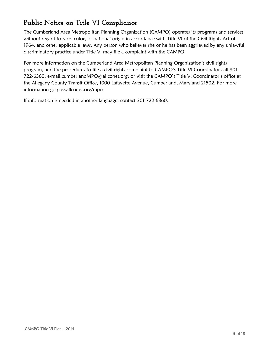# <span id="page-4-0"></span>**Public Notice on Title VI Compliance**

The Cumberland Area Metropolitan Planning Organization (CAMPO) operates its programs and services without regard to race, color, or national origin in accordance with Title VI of the Civil Rights Act of 1964, and other applicable laws. Any person who believes she or he has been aggrieved by any unlawful discriminatory practice under Title VI may file a complaint with the CAMPO.

For more information on the Cumberland Area Metropolitan Planning Organization's civil rights program, and the procedures to file a civil rights complaint to CAMPO's Title VI Coordinator call 301- 722-6360; e-mail:cumberlandMPO@allconet.org; or visit the CAMPO's Title VI Coordinator's office at the Allegany County Transit Office, 1000 Lafayette Avenue, Cumberland, Maryland 21502. For more information go gov.allconet.org/mpo

If information is needed in another language, contact 301-722-6360.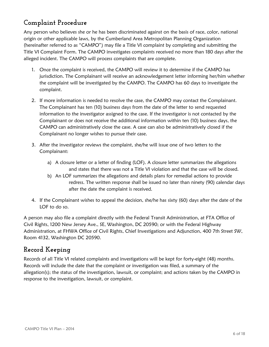# <span id="page-5-0"></span>**Complaint Procedure**

Any person who believes she or he has been discriminated against on the basis of race, color, national origin or other applicable laws, by the Cumberland Area Metropolitan Planning Organization (hereinafter referred to as "CAMPO") may file a Title VI complaint by completing and submitting the [Title VI Complaint Form.](#page-6-0) The CAMPO investigates complaints received no more than 180 days after the alleged incident. The CAMPO will process complaints that are complete.

- 1. Once the complaint is received, the CAMPO will review it to determine if the CAMPO has jurisdiction. The Complainant will receive an acknowledgement letter informing her/him whether the complaint will be investigated by the CAMPO. The CAMPO has 60 days to investigate the complaint.
- 2. If more information is needed to resolve the case, the CAMPO may contact the Complainant. The Complainant has ten (10) business days from the date of the letter to send requested information to the investigator assigned to the case. If the investigator is not contacted by the Complainant or does not receive the additional information within ten (10) business days, the CAMPO can administratively close the case. A case can also be administratively closed if the Complainant no longer wishes to pursue their case.
- 3. After the investigator reviews the complaint, she/he will issue one of two letters to the Complainant:
	- a) A closure letter or a letter of finding (LOF). A closure letter summarizes the allegations and states that there was not a Title VI violation and that the case will be closed.
	- b) An LOF summarizes the allegations and details plans for remedial actions to provide redress. The written response shall be issued no later than ninety (90) calendar days after the date the complaint is received.
- 4. If the Complainant wishes to appeal the decision, she/he has sixty (60) days after the date of the LOF to do so.

A person may also file a complaint directly with the Federal Transit Administration, at FTA Office of Civil Rights, 1200 New Jersey Ave., SE, Washington, DC 20590; or with the Federal Highway Administration, at FHWA Office of Civil Rights, Chief Investigations and Adjunction, 400 7th Street SW, Room 4132, Washington DC 20590.

## <span id="page-5-1"></span>**Record Keeping**

Records of all Title VI related complaints and investigations will be kept for forty-eight (48) months. Records will include the date that the complaint or investigation was filed, a summary of the allegation(s); the status of the investigation, lawsuit, or complaint; and actions taken by the CAMPO in response to the investigation, lawsuit, or complaint.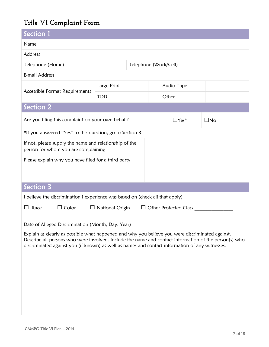# <span id="page-6-0"></span>**Title VI Complaint Form**

| Section 1                                                                                                                                                                                                                                                                                                    |             |                       |       |             |              |  |
|--------------------------------------------------------------------------------------------------------------------------------------------------------------------------------------------------------------------------------------------------------------------------------------------------------------|-------------|-----------------------|-------|-------------|--------------|--|
| Name                                                                                                                                                                                                                                                                                                         |             |                       |       |             |              |  |
| Address                                                                                                                                                                                                                                                                                                      |             |                       |       |             |              |  |
| Telephone (Home)                                                                                                                                                                                                                                                                                             |             | Telephone (Work/Cell) |       |             |              |  |
| E-mail Address                                                                                                                                                                                                                                                                                               |             |                       |       |             |              |  |
| Accessible Format Requirements                                                                                                                                                                                                                                                                               | Large Print |                       |       | Audio Tape  |              |  |
|                                                                                                                                                                                                                                                                                                              | <b>TDD</b>  |                       | Other |             |              |  |
| Section 2                                                                                                                                                                                                                                                                                                    |             |                       |       |             |              |  |
| Are you filing this complaint on your own behalf?                                                                                                                                                                                                                                                            |             |                       |       | $\Box$ Yes* | $\square$ No |  |
| *If you answered "Yes" to this question, go to Section 3.                                                                                                                                                                                                                                                    |             |                       |       |             |              |  |
| If not, please supply the name and relationship of the<br>person for whom you are complaining                                                                                                                                                                                                                |             |                       |       |             |              |  |
| Please explain why you have filed for a third party                                                                                                                                                                                                                                                          |             |                       |       |             |              |  |
| Section 3                                                                                                                                                                                                                                                                                                    |             |                       |       |             |              |  |
| I believe the discrimination I experience was based on (check all that apply)                                                                                                                                                                                                                                |             |                       |       |             |              |  |
| $\Box$ Color<br>$\Box$ Race<br>$\Box$ National Origin<br>$\Box$ Other Protected Class                                                                                                                                                                                                                        |             |                       |       |             |              |  |
| Date of Alleged Discrimination (Month, Day, Year) _                                                                                                                                                                                                                                                          |             |                       |       |             |              |  |
| Explain as clearly as possible what happened and why you believe you were discriminated against.<br>Describe all persons who were involved. Include the name and contact information of the person(s) who<br>discriminated against you (if known) as well as names and contact information of any witnesses. |             |                       |       |             |              |  |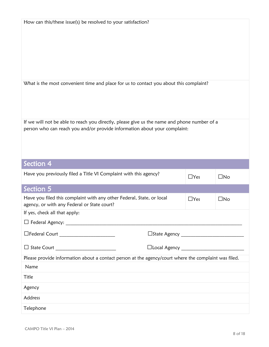| How can this/these issue(s) be resolved to your satisfaction?                                                                                                            |            |              |
|--------------------------------------------------------------------------------------------------------------------------------------------------------------------------|------------|--------------|
| What is the most convenient time and place for us to contact you about this complaint?                                                                                   |            |              |
| If we will not be able to reach you directly, please give us the name and phone number of a<br>person who can reach you and/or provide information about your complaint: |            |              |
|                                                                                                                                                                          |            |              |
| Section 4                                                                                                                                                                |            |              |
| Have you previously filed a Title VI Complaint with this agency?                                                                                                         | $\Box$ Yes | $\square$ No |
| Section 5                                                                                                                                                                |            |              |
| Have you filed this complaint with any other Federal, State, or local<br>agency, or with any Federal or State court?                                                     | $\Box$ Yes | $\square$ No |
| If yes, check all that apply:                                                                                                                                            |            |              |
|                                                                                                                                                                          |            |              |
|                                                                                                                                                                          |            |              |
|                                                                                                                                                                          |            |              |
| Please provide information about a contact person at the agency/court where the complaint was filed.                                                                     |            |              |
| Name                                                                                                                                                                     |            |              |
| Title                                                                                                                                                                    |            |              |
| Agency                                                                                                                                                                   |            |              |
| Address                                                                                                                                                                  |            |              |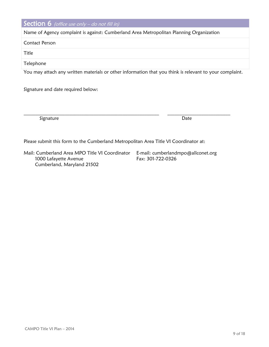#### **Section 6** (office use only  $-$  do not fill in)

Name of Agency complaint is against: Cumberland Area Metropolitan Planning Organization

Contact Person

Title

**Telephone** 

You may attach any written materials or other information that you think is relevant to your complaint.

 $\mathcal{L}_\mathcal{L} = \{ \mathcal{L}_\mathcal{L} = \{ \mathcal{L}_\mathcal{L} = \{ \mathcal{L}_\mathcal{L} = \{ \mathcal{L}_\mathcal{L} = \{ \mathcal{L}_\mathcal{L} = \{ \mathcal{L}_\mathcal{L} = \{ \mathcal{L}_\mathcal{L} = \{ \mathcal{L}_\mathcal{L} = \{ \mathcal{L}_\mathcal{L} = \{ \mathcal{L}_\mathcal{L} = \{ \mathcal{L}_\mathcal{L} = \{ \mathcal{L}_\mathcal{L} = \{ \mathcal{L}_\mathcal{L} = \{ \mathcal{L}_\mathcal{$ 

Signature and date required below:

Signature Date Date Communications and the Date Date Date

Please submit this form to the Cumberland Metropolitan Area Title VI Coordinator at:

Mail: Cumberland Area MPO Title VI Coordinator 1000 Lafayette Avenue Cumberland, Maryland 21502

E-mail: cumberlandmpo@allconet.org Fax: 301-722-0326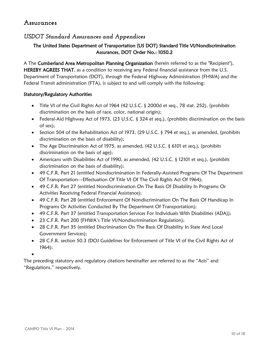#### <span id="page-9-0"></span>**Assurances**

#### <span id="page-9-1"></span>*USDOT Standard Assurances and Appendices*

#### The United States Department of Transportation (US DOT) Standard Title VI/Nondiscrimination Assurances, DOT Order No.: 1050.2

A The Cumberland Area Metropolitan Planning Organization (herein referred to as the "Recipient"), HEREBY AGREES THAT, as a condition to receiving any Federal financial assistance from the U.S. Department of Transportation (DOT), through the Federal Highway Administration (FHWA) and the Federal Transit administration (FTA), is subject to and will comply with the following:

#### Statutory/Regulatory Authorities

- Title VI of the Civil Rights Act of 1964 (42 U.S.C. § 2000d et seq., 78 stat. 252), (prohibits discrimination on the basis of race, color, national origin);
- Federal-Aid Highway Act of 1973, (23 U.S.C.  $\S$  324 et seq.), (prohibits discrimination on the basis of sex);
- Section 504 of the Rehabilitation Act of 1973, (29 U.S.C. § 794 et seq.), as amended, (prohibits discrimination on the basis of disability);
- The Age Discrimination Act of 1975, as amended, (42 U.S.C. § 6101 et seq.), (prohibits discrimination on the basis of age);
- Americans with Disabilities Act of 1990, as amended, (42 U.S.C. § 12101 et seq.), (prohibits discrimination on the basis of disability);
- 49 C.F.R. Part 21 (entitled Nondiscrimination In Federally-Assisted Programs Of The Department Of Transportation—Effectuation Of Title VI Of The Civil Rights Act Of 1964);
- 49 C.F.R. Part 27 (entitled Nondiscrimination On The Basis Of Disability In Programs Or Activities Receiving Federal Financial Assistance);
- 49 C.F.R. Part 28 (entitled Enforcement Of Nondiscrimination On The Basis Of Handicap In Programs Or Activities Conducted By The Department Of Transportation);
- 49 C.F.R. Part 37 (entitled Transportation Services For Individuals With Disabilities (ADA));
- 23 C.F.R. Part 200 (FHWA's Title VI/Nondiscrimination Regulation);
- 28 C.F.R. Part 35 (entitled Discrimination On The Basis Of Disability In State And Local Government Services);
- 28 C.F.R. section 50.3 (DOJ Guidelines for Enforcement of Title VI of the Civil Rights Act of 1964);

 $\bullet$ 

The preceding statutory and regulatory citations hereinafter are referred to as the "Acts" and "Regulations," respectively.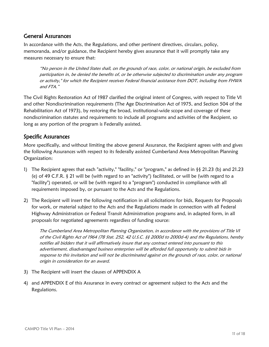#### <span id="page-10-0"></span>General Assurances

In accordance with the Acts, the Regulations, and other pertinent directives, circulars, policy, memoranda, and/or guidance, the Recipient hereby gives assurance that it will promptly take any measures necessary to ensure that:

"No person in the United States shall, on the grounds of race, color, or national origin, be excluded from participation in, be denied the benefits of, or be otherwise subjected to discrimination under any program or activity," for which the Recipient receives Federal financial assistance from DOT, including from FHWA and FTA."

The Civil Rights Restoration Act of 1987 clarified the original intent of Congress, with respect to Title VI and other Nondiscrimination requirements (The Age Discrimination Act of 1975, and Section 504 of the Rehabilitation Act of 1973), by restoring the broad, institutional-wide scope and coverage of these nondiscrimination statutes and requirements to include all programs and activities of the Recipient, so long as any portion of the program is Federally assisted.

#### <span id="page-10-1"></span>Specific Assurances

More specifically, and without limiting the above general Assurance, the Recipient agrees with and gives the following Assurances with respect to its federally assisted Cumberland Area Metropolitan Planning Organization:

- 1) The Recipient agrees that each "activity," "facility," or "program," as defined in §§ 21.23 (b) and 21.23 (e) of 49 C.F.R. § 21 will be (with regard to an "activity") facilitated, or will be (with regard to a "facility") operated, or will be (with regard to a "program") conducted in compliance with all requirements imposed by, or pursuant to the Acts and the Regulations.
- 2) The Recipient will insert the following notification in all solicitations for bids, Requests for Proposals for work, or material subject to the Acts and the Regulations made in connection with all Federal Highway Administration or Federal Transit Administration programs and, in adapted form, in all proposals for negotiated agreements regardless of funding source:

The Cumberland Area Metropolitan Planning Organization, in accordance with the provisions of Title VI of the Civil Rights Act of 1964 (78 Stat. 252, 42 U.S.C. §§ 2000d to 2000d-4) and the Regulations, hereby notifies all bidders that it will affirmatively insure that any contract entered into pursuant to this advertisement, disadvantaged business enterprises will be afforded full opportunity to submit bids in response to this invitation and will not be discriminated against on the grounds of race, color, or national origin in consideration for an award.

- 3) The Recipient will insert the clauses of [APPENDIX A](#page-13-0)
- 4) and [APPENDIX E](#page-17-0) of this Assurance in every contract or agreement subject to the Acts and the Regulations.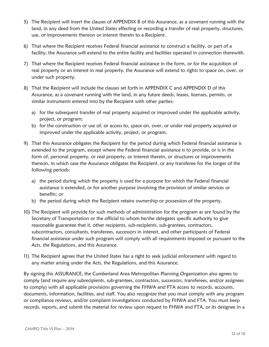- 5) The Recipient will insert the clauses of [APPENDIX B](#page-14-0) of this Assurance, as a covenant running with the land, in any deed from the United States effecting or recording a transfer of real property, structures, use, or improvements thereon or interest therein to a Recipient.
- 6) That where the Recipient receives Federal financial assistance to construct a facility, or part of a facility, the Assurance will extend to the entire facility and facilities operated in connection therewith.
- 7) That where the Recipient receives Federal financial assistance in the form, or for the acquisition of real property or an interest in real property, the Assurance will extend to rights to space on, over, or under such property.
- 8) That the Recipient will include the clauses set forth in [APPENDIX C](#page-15-0) and [APPENDIX D](#page-16-0) of this Assurance, as a covenant running with the land, in any future deeds, leases, licenses, permits, or similar instruments entered into by the Recipient with other parties:
	- a) for the subsequent transfer of real property acquired or improved under the applicable activity, project, or program;
	- b) for the construction or use of, or access to, space on, over, or under real property acquired or improved under the applicable activity, project, or program.
- 9) That this Assurance obligates the Recipient for the period during which Federal financial assistance is extended to the program, except where the Federal financial assistance is to provide, or is in the form of, personal property, or real property, or interest therein, or structures or improvements thereon, in which case the Assurance obligates the Recipient, or any transferee for the longer of the following periods:
	- a) the period during which the property is used for a purpose for which the Federal financial assistance is extended, or for another purpose involving the provision of similar services or benefits; or
	- b) the period during which the Recipient retains ownership or possession of the property.
- 10) The Recipient will provide for such methods of administration for the program as are found by the Secretary of Transportation or the official to whom he/she delegates specific authority to give reasonable guarantee that it, other recipients, sub-recipients, sub-grantees, contractors, subcontractors, consultants, transferees, successors in interest, and other participants of Federal financial assistance under such program will comply with all requirements imposed or pursuant to the Acts, the Regulations, and this Assurance.
- 11) The Recipient agrees that the United States has a right to seek judicial enforcement with regard to any matter arising under the Acts, the Regulations, and this Assurance.

By signing this ASSURANCE, the Cumberland Area Metropolitan Planning Organization also agrees to comply (and require any subrecipients, sub-grantees, contractors, successors, transferees, and/or assignees to comply) with all applicable provisions governing the FHWA and FTA access to records, accounts, documents, information, facilities, and staff. You also recognize that you must comply with any program or compliance reviews, and/or complaint investigations conducted by FHWA and FTA. You must keep records, reports, and submit the material for review upon request to FHWA and FTA, or its designee in a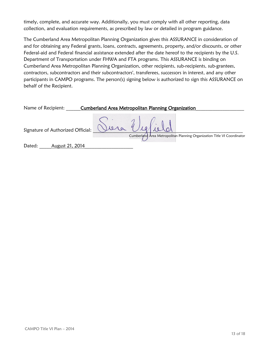timely, complete, and accurate way. Additionally, you must comply with all other reporting, data collection, and evaluation requirements, as prescribed by law or detailed in program guidance.

The Cumberland Area Metropolitan Planning Organization gives this ASSURANCE in consideration of and for obtaining any Federal grants, loans, contracts, agreements, property, and/or discounts, or other Federal-aid and Federal financial assistance extended after the date hereof to the recipients by the U.S. Department of Transportation under FHWA and FTA programs. This ASSURANCE is binding on Cumberland Area Metropolitan Planning Organization, other recipients, sub-recipients, sub-grantees, contractors, subcontractors and their subcontractors', transferees, successors in interest, and any other participants in CAMPO programs. The person(s) signing below is authorized to sign this ASSURANCE on behalf of the Recipient.

| Name of Recipient: |                                   | <b>Cumberland Area Metropolitan Planning Organization</b>                                 |
|--------------------|-----------------------------------|-------------------------------------------------------------------------------------------|
|                    | Signature of Authorized Official: | Siera Vielield<br>Cumberland Area Metropolitan Planning Organization Title VI Coordinator |
| Dated:             | August 21, 2014                   |                                                                                           |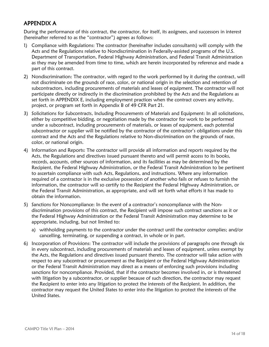#### <span id="page-13-0"></span>APPENDIX A

During the performance of this contract, the contractor, for itself, its assignees, and successors in interest (hereinafter referred to as the "contractor") agrees as follows:

- 1) Compliance with Regulations: The contractor (hereinafter includes consultants) will comply with the Acts and the Regulations relative to Nondiscrimination in Federally-assisted programs of the U.S. Department of Transportation, Federal Highway Administration, and Federal Transit Administration as they may be amended from time to time, which are herein incorporated by reference and made a part of this contract.
- 2) Nondiscrimination: The contractor, with regard to the work performed by it during the contract, will not discriminate on the grounds of race, color, or national origin in the selection and retention of subcontractors, including procurements of materials and leases of equipment. The contractor will not participate directly or indirectly in the discrimination prohibited by the Acts and the Regulations as set forth in [APPENDIX E,](#page-17-0) including employment practices when the contract covers any activity, project, or program set forth in Appendix B of 49 CFR Part 21.
- 3) Solicitations for Subcontracts, Including Procurements of Materials and Equipment: In all solicitations, either by competitive bidding, or negotiation made by the contractor for work to be performed under a subcontract, including procurements of materials, or leases of equipment, each potential subcontractor or supplier will be notified by the contractor of the contractor's obligations under this contract and the Acts and the Regulations relative to Non-discrimination on the grounds of race, color, or national origin.
- 4) Information and Reports: The contractor will provide all information and reports required by the Acts, the Regulations and directives issued pursuant thereto and will permit access to its books, records, accounts, other sources of information, and its facilities as may be determined by the Recipient, the Federal Highway Administration, or the Federal Transit Administration to be pertinent to ascertain compliance with such Acts, Regulations, and instructions. Where any information required of a contractor is in the exclusive possession of another who fails or refuses to furnish the information, the contractor will so certify to the Recipient the Federal Highway Administration, or the Federal Transit Administration, as appropriate, and will set forth what efforts it has made to obtain the information.
- 5) Sanctions for Noncompliance: In the event of a contractor's noncompliance with the Nondiscrimination provisions of this contract, the Recipient will impose such contract sanctions as it or the Federal Highway Administration or the Federal Transit Administration may determine to be appropriate, including, but not limited to:
	- a) withholding payments to the contractor under the contract until the contractor complies; and/or cancelling, terminating, or suspending a contract, in whole or in part.
- 6) Incorporation of Provisions: The contractor will include the provisions of paragraphs one through six in every subcontract, including procurements of materials and leases of equipment, unless exempt by the Acts, the Regulations and directives issued pursuant thereto. The contractor will take action with respect to any subcontract or procurement as the Recipient or the Federal Highway Administration or the Federal Transit Administration may direct as a means of enforcing such provisions including sanctions for noncompliance. Provided, that if the contractor becomes involved in, or is threatened with litigation by a subcontractor, or supplier because of such direction, the contractor may request the Recipient to enter into any litigation to protect the interests of the Recipient. In addition, the contractor may request the United States to enter into the litigation to protect the interests of the United States.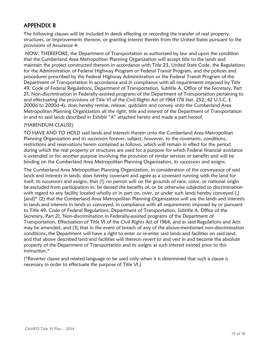#### <span id="page-14-0"></span>APPENDIX B

The following clauses will be included in deeds effecting or recording the transfer of real property, structures, or improvements thereon, or granting interest therein from the United States pursuant to the provisions of Assurance 4:

NOW, THEREFORE, the Department of Transportation as authorized by law and upon the condition that the Cumberland Area Metropolitan Planning Organization will accept title to the lands and maintain the project constructed thereon in accordance with Title 23, United State Code, the Regulations for the Administration of Federal Highway Program or Federal Transit Program, and the policies and procedures prescribed by the Federal Highway Administration or the Federal Transit Program of the Department of Transportation in accordance and in compliance with all requirements imposed by Title 49, Code of Federal Regulations, Department of Transportation, Subtitle A, Office of the Secretary, Part 21, Non-discrimination in Federally-assisted programs of the Department of Transportation pertaining to and effectuating the provisions of Title VI of the Civil Rights Act of 1964 (78 Stat. 252; 42 U.S.C. § 2000d to 2000d-4), does hereby remise, release, quitclaim and convey unto the Cumberland Area Metropolitan Planning Organization all the right, title and interest of the Department of Transportation in and to said lands described in Exhibit "A" attached hereto and made a part hereof.

#### (HABENDUM CLAUSE)

TO HAVE AND TO HOLD said lands and interests therein unto the Cumberland Area Metropolitan Planning Organization and its successors forever, subject, however, to the covenants, conditions, restrictions and reservations herein contained as follows, which will remain in effect for the period during which the real property or structures are used for a purpose for which Federal financial assistance is extended or for another purpose involving the provision of similar services or benefits and will be binding on the Cumberland Area Metropolitan Planning Organization, its successors and assigns.

The Cumberland Area Metropolitan Planning Organization, in consideration of the conveyance of said lands and interests in lands, does hereby covenant and agree as a covenant running with the land for itself, its successors and assigns, that (1) no person will on the grounds of race, color, or national origin be excluded from participation in, be denied the benefits of, or be otherwise subjected to discrimination with regard to any facility located wholly or in part on, over, or under such lands hereby conveyed [,] [and]\* (2) that the Cumberland Area Metropolitan Planning Organization will use the lands and interests in lands and interests in lands so conveyed, in compliance with all requirements imposed by or pursuant to Title 49, Code of Federal Regulations, Department of Transportation, Subtitle A, Office of the Secretary, Part 21, Non-discrimination in Federally-assisted programs of the Department of Transportation, Effectuation of Title VI of the Civil Rights Act of 1964, and as said Regulations and Acts may be amended, and (3) that in the event of breach of any of the above-mentioned non-discrimination conditions, the Department will have a right to enter or re-enter said lands and facilities on said land, and that above described land and facilities will thereon revert to and vest in and become the absolute property of the Department of Transportation and its assigns as such interest existed prior to this instruction.\*

(\*Reverter clause and related language to be used only when it is determined that such a clause is necessary in order to effectuate the purpose of Title VI.)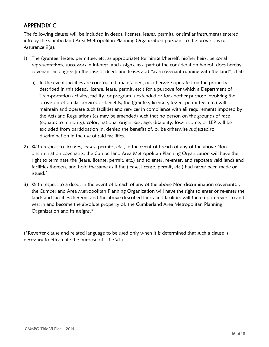#### <span id="page-15-0"></span>APPENDIX C

The following clauses will be included in deeds, licenses, leases, permits, or similar instruments entered into by the Cumberland Area Metropolitan Planning Organization pursuant to the provisions of Assurance 9(a):

- 1) The (grantee, lessee, permittee, etc. as appropriate) for himself/herself, his/her heirs, personal representatives, successors in interest, and assigns, as a part of the consideration hereof, does hereby covenant and agree [in the case of deeds and leases add "as a covenant running with the land"] that:
	- a) In the event facilities are constructed, maintained, or otherwise operated on the property described in this (deed, license, lease, permit, etc.) for a purpose for which a Department of Transportation activity, facility, or program is extended or for another purpose involving the provision of similar services or benefits, the (grantee, licensee, lessee, permittee, etc.) will maintain and operate such facilities and services in compliance with all requirements imposed by the Acts and Regulations (as may be amended) such that no person on the grounds of race (equates to minority), color, national origin, sex, age, disability, low-income, or LEP will be excluded from participation in, denied the benefits of, or be otherwise subjected to discrimination in the use of said facilities.
- 2) With respect to licenses, leases, permits, etc., in the event of breach of any of the above Nondiscrimination covenants, the Cumberland Area Metropolitan Planning Organization will have the right to terminate the (lease, license, permit, etc.) and to enter, re-enter, and repossess said lands and facilities thereon, and hold the same as if the (lease, license, permit, etc.) had never been made or issued.\*
- 3) With respect to a deed, in the event of breach of any of the above Non-discrimination covenants, , the Cumberland Area Metropolitan Planning Organization will have the right to enter or re-enter the lands and facilities thereon, and the above described lands and facilities will there upon revert to and vest in and become the absolute property of, the Cumberland Area Metropolitan Planning Organization and its assigns.\*

(\*Reverter clause and related language to be used only when it is determined that such a clause is necessary to effectuate the purpose of Title VI.)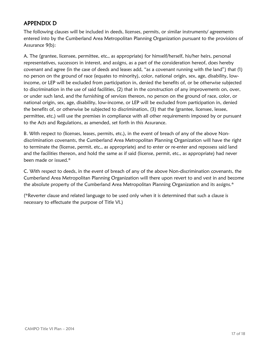#### <span id="page-16-0"></span>APPENDIX D

The following clauses will be included in deeds, licenses, permits, or similar instruments/ agreements entered into by the Cumberland Area Metropolitan Planning Organization pursuant to the provisions of Assurance 9(b):

A. The (grantee, licensee, permittee, etc., as appropriate) for himself/herself, his/her heirs, personal representatives, successors in interest, and assigns, as a part of the consideration hereof, does hereby covenant and agree (in the case of deeds and leases add, "as a covenant running with the land") that (1) no person on the ground of race (equates to minority), color, national origin, sex, age, disability, lowincome, or LEP will be excluded from participation in, denied the benefits of, or be otherwise subjected to discrimination in the use of said facilities, (2) that in the construction of any improvements on, over, or under such land, and the furnishing of services thereon, no person on the ground of race, color, or national origin, sex, age, disability, low-income, or LEP will be excluded from participation in, denied the benefits of, or otherwise be subjected to discrimination, (3) that the (grantee, licensee, lessee, permittee, etc.) will use the premises in compliance with all other requirements imposed by or pursuant to the Acts and Regulations, as amended, set forth in this Assurance.

B. With respect to (licenses, leases, permits, etc.), in the event of breach of any of the above Nondiscrimination covenants, the Cumberland Area Metropolitan Planning Organization will have the right to terminate the (license, permit, etc., as appropriate) and to enter or re-enter and repossess said land and the facilities thereon, and hold the same as if said (license, permit, etc., as appropriate) had never been made or issued.\*

C. With respect to deeds, in the event of breach of any of the above Non-discrimination covenants, the Cumberland Area Metropolitan Planning Organization will there upon revert to and vest in and become the absolute property of the Cumberland Area Metropolitan Planning Organization and its assigns.\*

(\*Reverter clause and related language to be used only when it is determined that such a clause is necessary to effectuate the purpose of Title VI.)